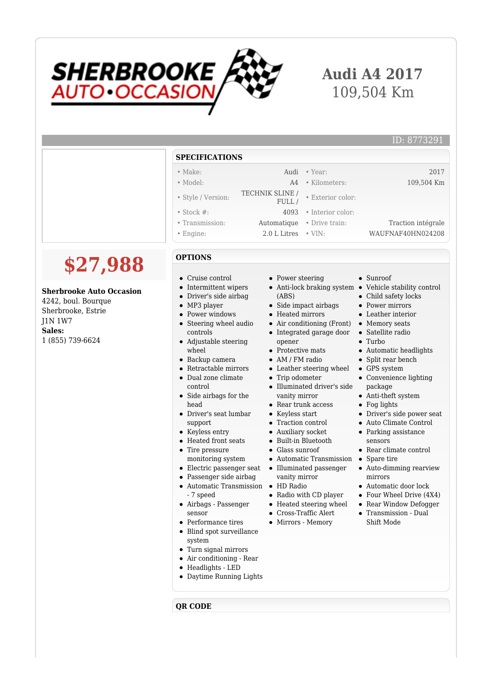

## **Audi A4 2017** 109,504 Km

| <b>SPECIFICATIONS</b> |                          |                   |                    |
|-----------------------|--------------------------|-------------------|--------------------|
| $\bullet$ Make:       | Audi                     | $\bullet$ Year:   | 2017               |
| • Model:              | A4                       | • Kilometers:     | 109,504 Km         |
| • Style / Version:    | TECHNIK SLINE /<br>FULL/ | • Exterior color: |                    |
| $\bullet$ Stock #:    | 4093                     | • Interior color: |                    |
| • Transmission:       | Automatique              | • Drive train:    | Traction intégrale |
| $\bullet$ Engine:     | 2.0 L Litres             | $\bullet$ VIN:    | WAUFNAF40HN024208  |

## **\$27,988**

## **Sherbrooke Auto Occasion**

4242, boul. Bourque Sherbrooke, Estrie J1N 1W7 **Sales:** 1 (855) 739-6624

- **OPTIONS**
- Cruise control
- Intermittent wipers
- Driver's side airbag
- MP3 player
- Power windows  $\bullet$ Steering wheel audio
- controls Adjustable steering
- wheel
- Backup camera
- $\bullet$ Retractable mirrors
- $\bullet$ Dual zone climate control
- Side airbags for the  $\bullet$ head
- Driver's seat lumbar support
- Keyless entry
- Heated front seats
- Tire pressure monitoring system
- Electric passenger seat
- Passenger side airbag
- Automatic Transmission HD Radio - 7 speed
- Airbags Passenger sensor
- Performance tires
- Blind spot surveillance system
- Turn signal mirrors
- Air conditioning Rear
- Headlights LED
- Daytime Running Lights

**QR CODE**

- Power steering
- (ABS)
- Side impact airbags
- Heated mirrors
- Air conditioning (Front)
- Integrated garage door
- opener
- Protective mats
- AM / FM radio
- Leather steering wheel
- Trip odometer
- Illuminated driver's side vanity mirror
- Rear trunk access
- Keyless start
- Traction control
- Auxiliary socket
- Built-in Bluetooth
- Glass sunroof
- Automatic Transmission Spare tire
- Illuminated passenger vanity mirror
- 
- Radio with CD player
- Heated steering wheel
- Cross-Traffic Alert
- Mirrors Memory
- Sunroof
- Anti-lock braking system Vehicle stability control
	- Child safety locks
	- Power mirrors
	- Leather interior
	- Memory seats
	- Satellite radio
	- $\bullet$  Turbo
	- Automatic headlights
	- Split rear bench
	- GPS system Convenience lighting
		- package Anti-theft system
	- Fog lights
	- Driver's side power seat
	- Auto Climate Control
	- Parking assistance
	- sensors
	- Rear climate control
	-
	- Auto-dimming rearview mirrors
	- Automatic door lock
	- Four Wheel Drive (4X4)
	- Rear Window Defogger
	- Transmission Dual Shift Mode
	-
- 
-